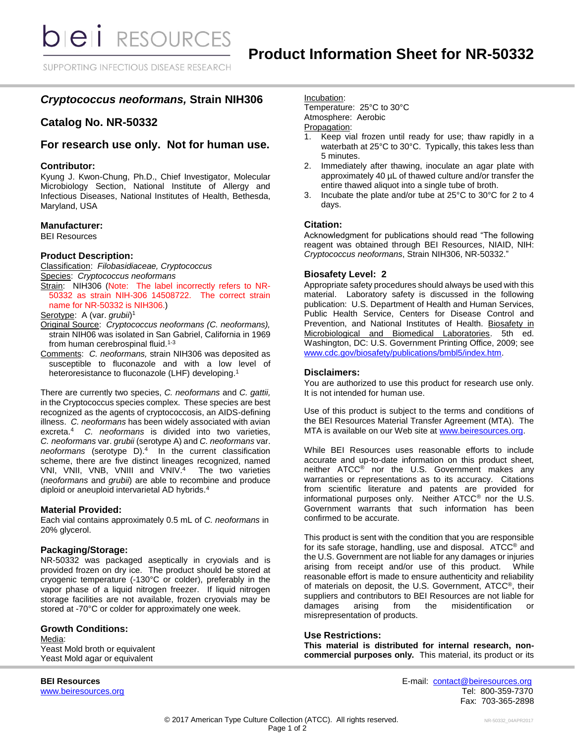**bieli** RESOURCES

SUPPORTING INFECTIOUS DISEASE RESEARCH

# *Cryptococcus neoformans,* **Strain NIH306**

## **Catalog No. NR-50332**

### **For research use only. Not for human use.**

#### **Contributor:**

Kyung J. Kwon-Chung, Ph.D., Chief Investigator, Molecular Microbiology Section, National Institute of Allergy and Infectious Diseases, National Institutes of Health, Bethesda, Maryland, USA

#### **Manufacturer:**

BEI Resources

### **Product Description:**

Classification: *Filobasidiaceae, Cryptococcus* Species: *Cryptococcus neoformans*

Strain: NIH306 (Note: The label incorrectly refers to NR-50332 as strain NIH-306 14508722. The correct strain name for NR-50332 is NIH306.)

Serotype: A (var. *grubii*)<sup>1</sup>

- Original Source: *Cryptococcus neoformans (C. neoformans),*  strain NIH06 was isolated in San Gabriel, California in 1969 from human cerebrospinal fluid.<sup>1-3</sup>
- Comments: *C. neoformans,* strain NIH306 was deposited as susceptible to fluconazole and with a low level of heteroresistance to fluconazole (LHF) developing.<sup>1</sup>

There are currently two species, *C. neoformans* and *C. gattii,* in the Cryptococcus species complex.These species are best recognized as the agents of cryptococcosis, an AIDS-defining illness. *C. neoformans* has been widely associated with avian excreta.<sup>4</sup>*C. neoformans* is divided into two varieties, *C. neoformans* var. *grubii* (serotype A) and *C. neoformans* var. *neoformans* (serotype D). <sup>4</sup>In the current classification scheme, there are five distinct lineages recognized, named VNI, VNII, VNB, VNIII and VNIV. 4 The two varieties (*neoformans* and *grubii*) are able to recombine and produce diploid or aneuploid intervarietal AD hybrids.<sup>4</sup>

### **Material Provided:**

Each vial contains approximately 0.5 mL of *C. neoformans* in 20% glycerol.

#### **Packaging/Storage:**

NR-50332 was packaged aseptically in cryovials and is provided frozen on dry ice. The product should be stored at cryogenic temperature (-130°C or colder), preferably in the vapor phase of a liquid nitrogen freezer. If liquid nitrogen storage facilities are not available, frozen cryovials may be stored at -70°C or colder for approximately one week.

#### **Growth Conditions:**

Media: Yeast Mold broth or equivalent Yeast Mold agar or equivalent

Incubation:

Temperature: 25°C to 30°C Atmosphere: Aerobic

## Propagation:

- 1. Keep vial frozen until ready for use; thaw rapidly in a waterbath at 25°C to 30°C. Typically, this takes less than 5 minutes.
- 2. Immediately after thawing, inoculate an agar plate with approximately 40 µL of thawed culture and/or transfer the entire thawed aliquot into a single tube of broth.
- 3. Incubate the plate and/or tube at 25°C to 30°C for 2 to 4 days.

#### **Citation:**

Acknowledgment for publications should read "The following reagent was obtained through BEI Resources, NIAID, NIH: *Cryptococcus neoformans*, Strain NIH306, NR-50332."

#### **Biosafety Level: 2**

Appropriate safety procedures should always be used with this material. Laboratory safety is discussed in the following publication: U.S. Department of Health and Human Services, Public Health Service, Centers for Disease Control and Prevention, and National Institutes of Health. Biosafety in Microbiological and Biomedical Laboratories. 5th ed. Washington, DC: U.S. Government Printing Office, 2009; see [www.cdc.gov/biosafety/publications/bmbl5/index.htm.](http://www.cdc.gov/biosafety/publications/bmbl5/index.htm)

#### **Disclaimers:**

You are authorized to use this product for research use only. It is not intended for human use.

Use of this product is subject to the terms and conditions of the BEI Resources Material Transfer Agreement (MTA). The MTA is available on our Web site at [www.beiresources.org.](http://www.beiresources.org/)

While BEI Resources uses reasonable efforts to include accurate and up-to-date information on this product sheet, neither ATCC® nor the U.S. Government makes any warranties or representations as to its accuracy. Citations from scientific literature and patents are provided for informational purposes only. Neither ATCC® nor the U.S. Government warrants that such information has been confirmed to be accurate.

This product is sent with the condition that you are responsible for its safe storage, handling, use and disposal. ATCC® and the U.S. Government are not liable for any damages or injuries arising from receipt and/or use of this product. While reasonable effort is made to ensure authenticity and reliability of materials on deposit, the U.S. Government, ATCC®, their suppliers and contributors to BEI Resources are not liable for damages arising from the misidentification or misrepresentation of products.

### **Use Restrictions:**

**This material is distributed for internal research, noncommercial purposes only.** This material, its product or its